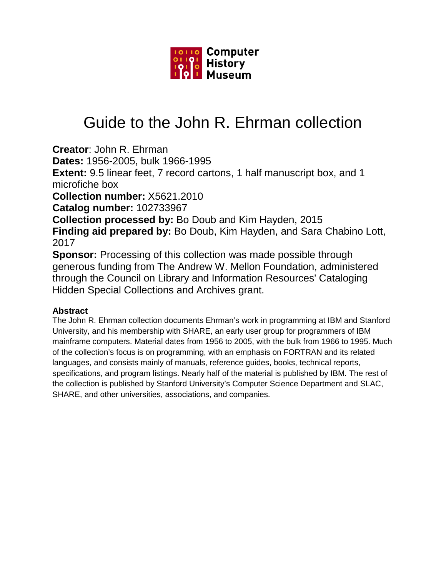

# Guide to the John R. Ehrman collection

**Creator**: John R. Ehrman

**Dates:** 1956-2005, bulk 1966-1995

**Extent:** 9.5 linear feet, 7 record cartons, 1 half manuscript box, and 1 microfiche box

**Collection number:** X5621.2010

**Catalog number:** 102733967

**Collection processed by:** Bo Doub and Kim Hayden, 2015 **Finding aid prepared by:** Bo Doub, Kim Hayden, and Sara Chabino Lott, 2017

**Sponsor:** Processing of this collection was made possible through generous funding from The Andrew W. Mellon Foundation, administered through the Council on Library and Information Resources' Cataloging Hidden Special Collections and Archives grant.

# **Abstract**

The John R. Ehrman collection documents Ehrman's work in programming at IBM and Stanford University, and his membership with SHARE, an early user group for programmers of IBM mainframe computers. Material dates from 1956 to 2005, with the bulk from 1966 to 1995. Much of the collection's focus is on programming, with an emphasis on FORTRAN and its related languages, and consists mainly of manuals, reference guides, books, technical reports, specifications, and program listings. Nearly half of the material is published by IBM. The rest of the collection is published by Stanford University's Computer Science Department and SLAC, SHARE, and other universities, associations, and companies.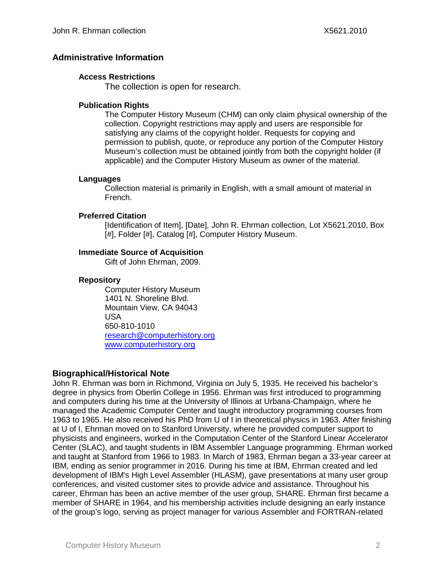# **Administrative Information**

### **Access Restrictions**

The collection is open for research.

### **Publication Rights**

The Computer History Museum (CHM) can only claim physical ownership of the collection. Copyright restrictions may apply and users are responsible for satisfying any claims of the copyright holder. Requests for copying and permission to publish, quote, or reproduce any portion of the Computer History Museum's collection must be obtained jointly from both the copyright holder (if applicable) and the Computer History Museum as owner of the material.

#### **Languages**

Collection material is primarily in English, with a small amount of material in French.

### **Preferred Citation**

[Identification of Item], [Date], John R. Ehrman collection, Lot X5621.2010, Box [#], Folder [#], Catalog [#], Computer History Museum.

# **Immediate Source of Acquisition**

Gift of John Ehrman, 2009.

#### **Repository**

Computer History Museum 1401 N. Shoreline Blvd. Mountain View, CA 94043 USA 650-810-1010 [research@computerhistory.org](mailto:research@computerhistory.org) [www.computerhistory.org](http://www.computerhistory.org/)

# **Biographical/Historical Note**

John R. Ehrman was born in Richmond, Virginia on July 5, 1935. He received his bachelor's degree in physics from Oberlin College in 1956. Ehrman was first introduced to programming and computers during his time at the University of Illinois at Urbana-Champaign, where he managed the Academic Computer Center and taught introductory programming courses from 1963 to 1965. He also received his PhD from U of I in theoretical physics in 1963. After finishing at U of I, Ehrman moved on to Stanford University, where he provided computer support to physicists and engineers, worked in the Computation Center of the Stanford Linear Accelerator Center (SLAC), and taught students in IBM Assembler Language programming. Ehrman worked and taught at Stanford from 1966 to 1983. In March of 1983, Ehrman began a 33-year career at IBM, ending as senior programmer in 2016. During his time at IBM, Ehrman created and led development of IBM's High Level Assembler (HLASM), gave presentations at many user group conferences, and visited customer sites to provide advice and assistance. Throughout his career, Ehrman has been an active member of the user group, SHARE. Ehrman first became a member of SHARE in 1964, and his membership activities include designing an early instance of the group's logo, serving as project manager for various Assembler and FORTRAN-related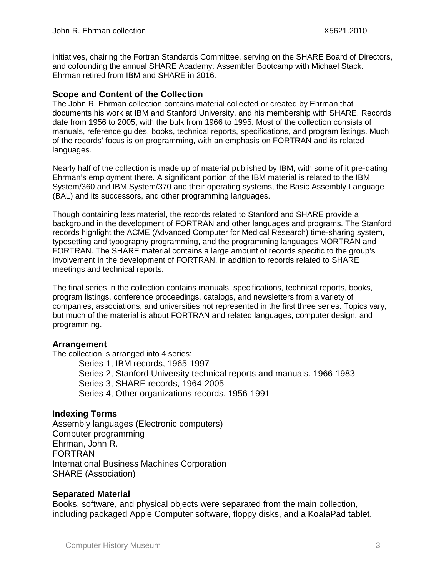initiatives, chairing the Fortran Standards Committee, serving on the SHARE Board of Directors, and cofounding the annual SHARE Academy: Assembler Bootcamp with Michael Stack. Ehrman retired from IBM and SHARE in 2016.

# **Scope and Content of the Collection**

The John R. Ehrman collection contains material collected or created by Ehrman that documents his work at IBM and Stanford University, and his membership with SHARE. Records date from 1956 to 2005, with the bulk from 1966 to 1995. Most of the collection consists of manuals, reference guides, books, technical reports, specifications, and program listings. Much of the records' focus is on programming, with an emphasis on FORTRAN and its related languages.

Nearly half of the collection is made up of material published by IBM, with some of it pre-dating Ehrman's employment there. A significant portion of the IBM material is related to the IBM System/360 and IBM System/370 and their operating systems, the Basic Assembly Language (BAL) and its successors, and other programming languages.

Though containing less material, the records related to Stanford and SHARE provide a background in the development of FORTRAN and other languages and programs. The Stanford records highlight the ACME (Advanced Computer for Medical Research) time-sharing system, typesetting and typography programming, and the programming languages MORTRAN and FORTRAN. The SHARE material contains a large amount of records specific to the group's involvement in the development of FORTRAN, in addition to records related to SHARE meetings and technical reports.

The final series in the collection contains manuals, specifications, technical reports, books, program listings, conference proceedings, catalogs, and newsletters from a variety of companies, associations, and universities not represented in the first three series. Topics vary, but much of the material is about FORTRAN and related languages, computer design, and programming.

# **Arrangement**

The collection is arranged into 4 series: Series 1, IBM records, 1965-1997 Series 2, Stanford University technical reports and manuals, 1966-1983 Series 3, SHARE records, 1964-2005 Series 4, Other organizations records, 1956-1991

# **Indexing Terms**

Assembly languages (Electronic computers) Computer programming Ehrman, John R. FORTRAN International Business Machines Corporation SHARE (Association)

# **Separated Material**

Books, software, and physical objects were separated from the main collection, including packaged Apple Computer software, floppy disks, and a KoalaPad tablet.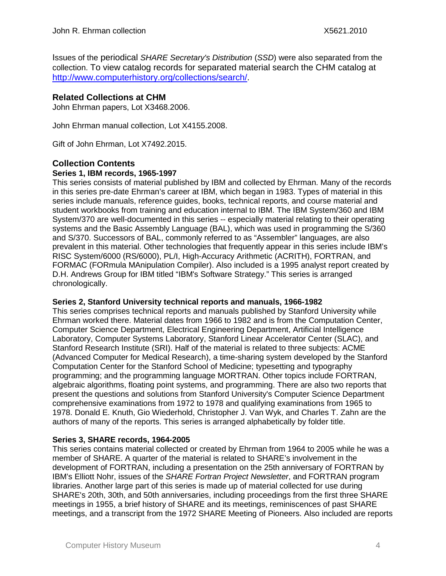Issues of the periodical *SHARE Secretary's Distribution* (*SSD*) were also separated from the collection. To view catalog records for separated material search the CHM catalog at [http://www.computerhistory.org/collections/search/.](http://www.computerhistory.org/collections/search/)

# **Related Collections at CHM**

John Ehrman papers, Lot X3468.2006.

John Ehrman manual collection, Lot X4155.2008.

Gift of John Ehrman, Lot X7492.2015.

# **Collection Contents**

#### **Series 1, IBM records, 1965-1997**

This series consists of material published by IBM and collected by Ehrman. Many of the records in this series pre-date Ehrman's career at IBM, which began in 1983. Types of material in this series include manuals, reference guides, books, technical reports, and course material and student workbooks from training and education internal to IBM. The IBM System/360 and IBM System/370 are well-documented in this series -- especially material relating to their operating systems and the Basic Assembly Language (BAL), which was used in programming the S/360 and S/370. Successors of BAL, commonly referred to as "Assembler" languages, are also prevalent in this material. Other technologies that frequently appear in this series include IBM's RISC System/6000 (RS/6000), PL/I, High-Accuracy Arithmetic (ACRITH), FORTRAN, and FORMAC (FORmula MAnipulation Compiler). Also included is a 1995 analyst report created by D.H. Andrews Group for IBM titled "IBM's Software Strategy." This series is arranged chronologically.

# **Series 2, Stanford University technical reports and manuals, 1966-1982**

This series comprises technical reports and manuals published by Stanford University while Ehrman worked there. Material dates from 1966 to 1982 and is from the Computation Center, Computer Science Department, Electrical Engineering Department, Artificial Intelligence Laboratory, Computer Systems Laboratory, Stanford Linear Accelerator Center (SLAC), and Stanford Research Institute (SRI). Half of the material is related to three subjects: ACME (Advanced Computer for Medical Research), a time-sharing system developed by the Stanford Computation Center for the Stanford School of Medicine; typesetting and typography programming; and the programming language MORTRAN. Other topics include FORTRAN, algebraic algorithms, floating point systems, and programming. There are also two reports that present the questions and solutions from Stanford University's Computer Science Department comprehensive examinations from 1972 to 1978 and qualifying examinations from 1965 to 1978. Donald E. Knuth, Gio Wiederhold, Christopher J. Van Wyk, and Charles T. Zahn are the authors of many of the reports. This series is arranged alphabetically by folder title.

# **Series 3, SHARE records, 1964-2005**

This series contains material collected or created by Ehrman from 1964 to 2005 while he was a member of SHARE. A quarter of the material is related to SHARE's involvement in the development of FORTRAN, including a presentation on the 25th anniversary of FORTRAN by IBM's Elliott Nohr, issues of the *SHARE Fortran Project Newsletter*, and FORTRAN program libraries. Another large part of this series is made up of material collected for use during SHARE's 20th, 30th, and 50th anniversaries, including proceedings from the first three SHARE meetings in 1955, a brief history of SHARE and its meetings, reminiscences of past SHARE meetings, and a transcript from the 1972 SHARE Meeting of Pioneers. Also included are reports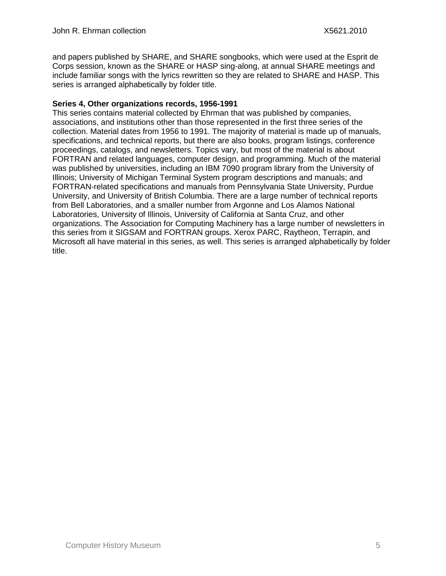and papers published by SHARE, and SHARE songbooks, which were used at the Esprit de Corps session, known as the SHARE or HASP sing-along, at annual SHARE meetings and include familiar songs with the lyrics rewritten so they are related to SHARE and HASP. This series is arranged alphabetically by folder title.

# **Series 4, Other organizations records, 1956-1991**

This series contains material collected by Ehrman that was published by companies, associations, and institutions other than those represented in the first three series of the collection. Material dates from 1956 to 1991. The majority of material is made up of manuals, specifications, and technical reports, but there are also books, program listings, conference proceedings, catalogs, and newsletters. Topics vary, but most of the material is about FORTRAN and related languages, computer design, and programming. Much of the material was published by universities, including an IBM 7090 program library from the University of Illinois; University of Michigan Terminal System program descriptions and manuals; and FORTRAN-related specifications and manuals from Pennsylvania State University, Purdue University, and University of British Columbia. There are a large number of technical reports from Bell Laboratories, and a smaller number from Argonne and Los Alamos National Laboratories, University of Illinois, University of California at Santa Cruz, and other organizations. The Association for Computing Machinery has a large number of newsletters in this series from it SIGSAM and FORTRAN groups. Xerox PARC, Raytheon, Terrapin, and Microsoft all have material in this series, as well. This series is arranged alphabetically by folder title.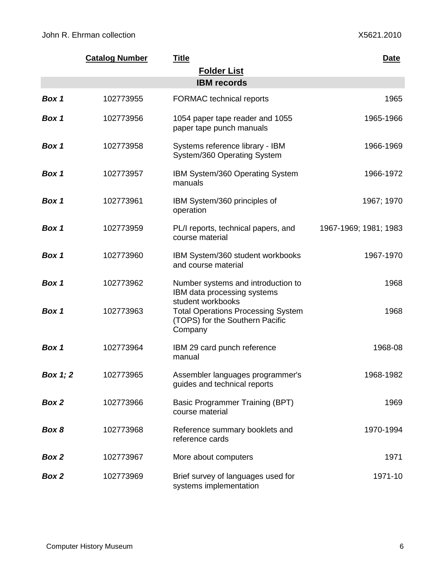|          | <b>Catalog Number</b> | <b>Title</b>                                                                            | <b>Date</b>           |
|----------|-----------------------|-----------------------------------------------------------------------------------------|-----------------------|
|          |                       | <b>Folder List</b>                                                                      |                       |
|          |                       | <b>IBM</b> records                                                                      |                       |
| Box 1    | 102773955             | <b>FORMAC</b> technical reports                                                         | 1965                  |
| Box 1    | 102773956             | 1054 paper tape reader and 1055<br>paper tape punch manuals                             | 1965-1966             |
| Box 1    | 102773958             | Systems reference library - IBM<br>System/360 Operating System                          | 1966-1969             |
| Box 1    | 102773957             | IBM System/360 Operating System<br>manuals                                              | 1966-1972             |
| Box 1    | 102773961             | IBM System/360 principles of<br>operation                                               | 1967; 1970            |
| Box 1    | 102773959             | PL/I reports, technical papers, and<br>course material                                  | 1967-1969; 1981; 1983 |
| Box 1    | 102773960             | IBM System/360 student workbooks<br>and course material                                 | 1967-1970             |
| Box 1    | 102773962             | Number systems and introduction to<br>IBM data processing systems<br>student workbooks  | 1968                  |
| Box 1    | 102773963             | <b>Total Operations Processing System</b><br>(TOPS) for the Southern Pacific<br>Company | 1968                  |
| Box 1    | 102773964             | IBM 29 card punch reference<br>manual                                                   | 1968-08               |
| Box 1; 2 | 102773965             | Assembler languages programmer's<br>guides and technical reports                        | 1968-1982             |
| Box 2    | 102773966             | Basic Programmer Training (BPT)<br>course material                                      | 1969                  |
| Box 8    | 102773968             | Reference summary booklets and<br>reference cards                                       | 1970-1994             |
| Box 2    | 102773967             | More about computers                                                                    | 1971                  |
| Box 2    | 102773969             | Brief survey of languages used for<br>systems implementation                            | 1971-10               |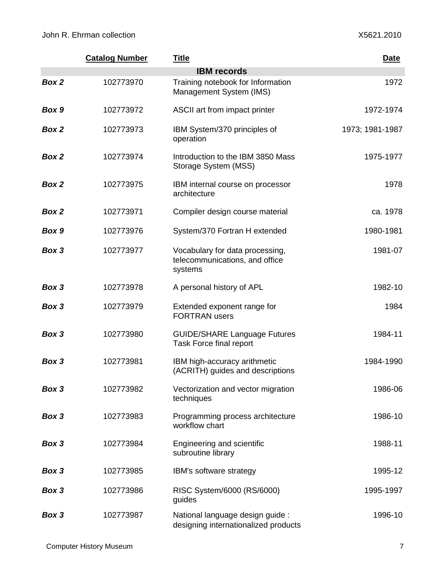|       | <b>Catalog Number</b> | <b>Title</b>                                                                 | Date            |
|-------|-----------------------|------------------------------------------------------------------------------|-----------------|
|       |                       | <b>IBM</b> records                                                           |                 |
| Box 2 | 102773970             | Training notebook for Information<br>Management System (IMS)                 | 1972            |
| Box 9 | 102773972             | ASCII art from impact printer                                                | 1972-1974       |
| Box 2 | 102773973             | IBM System/370 principles of<br>operation                                    | 1973; 1981-1987 |
| Box 2 | 102773974             | Introduction to the IBM 3850 Mass<br>Storage System (MSS)                    | 1975-1977       |
| Box 2 | 102773975             | IBM internal course on processor<br>architecture                             | 1978            |
| Box 2 | 102773971             | Compiler design course material                                              | ca. 1978        |
| Box 9 | 102773976             | System/370 Fortran H extended                                                | 1980-1981       |
| Box 3 | 102773977             | Vocabulary for data processing,<br>telecommunications, and office<br>systems | 1981-07         |
| Box 3 | 102773978             | A personal history of APL                                                    | 1982-10         |
| Box 3 | 102773979             | Extended exponent range for<br><b>FORTRAN</b> users                          | 1984            |
| Box 3 | 102773980             | <b>GUIDE/SHARE Language Futures</b><br>Task Force final report               | 1984-11         |
| Box 3 | 102773981             | IBM high-accuracy arithmetic<br>(ACRITH) guides and descriptions             | 1984-1990       |
| Box 3 | 102773982             | Vectorization and vector migration<br>techniques                             | 1986-06         |
| Box 3 | 102773983             | Programming process architecture<br>workflow chart                           | 1986-10         |
| Box 3 | 102773984             | Engineering and scientific<br>subroutine library                             | 1988-11         |
| Box 3 | 102773985             | IBM's software strategy                                                      | 1995-12         |
| Box 3 | 102773986             | RISC System/6000 (RS/6000)<br>guides                                         | 1995-1997       |
| Box 3 | 102773987             | National language design guide :<br>designing internationalized products     | 1996-10         |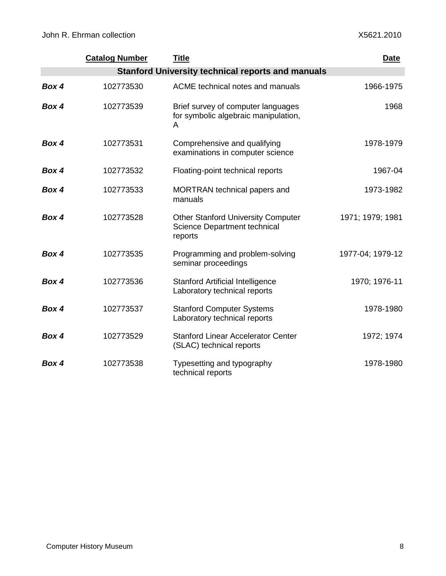|                                                          | <b>Catalog Number</b> | <b>Title</b>                                                                         | <b>Date</b>      |
|----------------------------------------------------------|-----------------------|--------------------------------------------------------------------------------------|------------------|
| <b>Stanford University technical reports and manuals</b> |                       |                                                                                      |                  |
| Box 4                                                    | 102773530             | ACME technical notes and manuals                                                     | 1966-1975        |
| Box 4                                                    | 102773539             | Brief survey of computer languages<br>for symbolic algebraic manipulation,<br>A      | 1968             |
| Box 4                                                    | 102773531             | Comprehensive and qualifying<br>examinations in computer science                     | 1978-1979        |
| Box 4                                                    | 102773532             | Floating-point technical reports                                                     | 1967-04          |
| Box 4                                                    | 102773533             | MORTRAN technical papers and<br>manuals                                              | 1973-1982        |
| Box 4                                                    | 102773528             | <b>Other Stanford University Computer</b><br>Science Department technical<br>reports | 1971; 1979; 1981 |
| Box 4                                                    | 102773535             | Programming and problem-solving<br>seminar proceedings                               | 1977-04; 1979-12 |
| Box 4                                                    | 102773536             | <b>Stanford Artificial Intelligence</b><br>Laboratory technical reports              | 1970; 1976-11    |
| Box 4                                                    | 102773537             | <b>Stanford Computer Systems</b><br>Laboratory technical reports                     | 1978-1980        |
| Box 4                                                    | 102773529             | <b>Stanford Linear Accelerator Center</b><br>(SLAC) technical reports                | 1972; 1974       |
| Box 4                                                    | 102773538             | Typesetting and typography<br>technical reports                                      | 1978-1980        |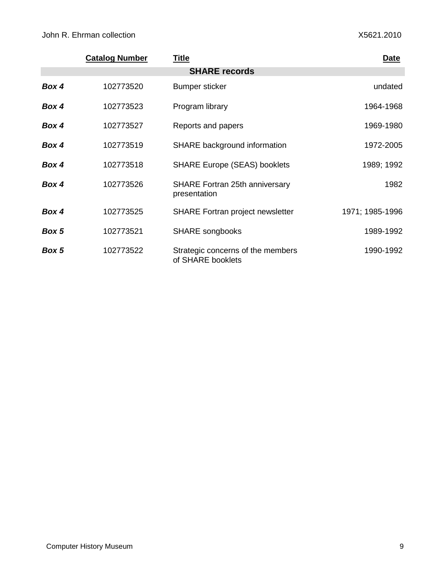|       | <b>Catalog Number</b> | <u>Title</u>                                           | Date            |
|-------|-----------------------|--------------------------------------------------------|-----------------|
|       |                       | <b>SHARE records</b>                                   |                 |
| Box 4 | 102773520             | Bumper sticker                                         | undated         |
| Box 4 | 102773523             | Program library                                        | 1964-1968       |
| Box 4 | 102773527             | Reports and papers                                     | 1969-1980       |
| Box 4 | 102773519             | SHARE background information                           | 1972-2005       |
| Box 4 | 102773518             | <b>SHARE Europe (SEAS) booklets</b>                    | 1989; 1992      |
| Box 4 | 102773526             | <b>SHARE Fortran 25th anniversary</b><br>presentation  | 1982            |
| Box 4 | 102773525             | <b>SHARE Fortran project newsletter</b>                | 1971; 1985-1996 |
| Box 5 | 102773521             | <b>SHARE</b> songbooks                                 | 1989-1992       |
| Box 5 | 102773522             | Strategic concerns of the members<br>of SHARE booklets | 1990-1992       |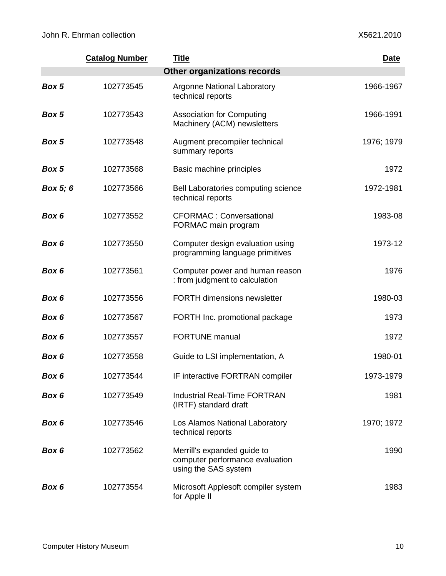|          | <b>Catalog Number</b> | <b>Title</b>                                                                           | Date       |
|----------|-----------------------|----------------------------------------------------------------------------------------|------------|
|          |                       | <b>Other organizations records</b>                                                     |            |
| Box 5    | 102773545             | <b>Argonne National Laboratory</b><br>technical reports                                | 1966-1967  |
| Box 5    | 102773543             | <b>Association for Computing</b><br>Machinery (ACM) newsletters                        | 1966-1991  |
| Box 5    | 102773548             | Augment precompiler technical<br>summary reports                                       | 1976; 1979 |
| Box 5    | 102773568             | Basic machine principles                                                               | 1972       |
| Box 5; 6 | 102773566             | Bell Laboratories computing science<br>technical reports                               | 1972-1981  |
| Box 6    | 102773552             | <b>CFORMAC: Conversational</b><br>FORMAC main program                                  | 1983-08    |
| Box 6    | 102773550             | Computer design evaluation using<br>programming language primitives                    | 1973-12    |
| Box 6    | 102773561             | Computer power and human reason<br>: from judgment to calculation                      | 1976       |
| Box 6    | 102773556             | <b>FORTH dimensions newsletter</b>                                                     | 1980-03    |
| Box 6    | 102773567             | FORTH Inc. promotional package                                                         | 1973       |
| Box 6    | 102773557             | <b>FORTUNE</b> manual                                                                  | 1972       |
| Box 6    | 102773558             | Guide to LSI implementation, A                                                         | 1980-01    |
| Box 6    | 102773544             | IF interactive FORTRAN compiler                                                        | 1973-1979  |
| Box 6    | 102773549             | <b>Industrial Real-Time FORTRAN</b><br>(IRTF) standard draft                           | 1981       |
| Box 6    | 102773546             | Los Alamos National Laboratory<br>technical reports                                    | 1970; 1972 |
| Box 6    | 102773562             | Merrill's expanded guide to<br>computer performance evaluation<br>using the SAS system | 1990       |
| Box 6    | 102773554             | Microsoft Applesoft compiler system<br>for Apple II                                    | 1983       |